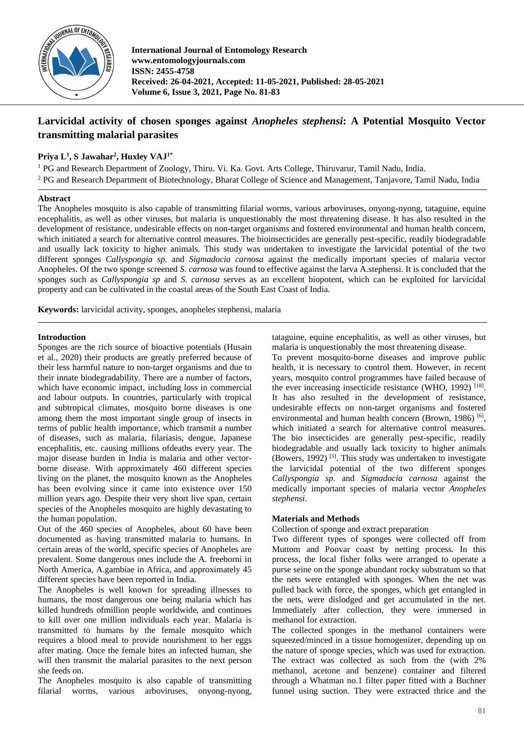

**International Journal of Entomology Research www.entomologyjournals.com ISSN: 2455-4758 Received: 26-04-2021, Accepted: 11-05-2021, Published: 28-05-2021 Volume 6, Issue 3, 2021, Page No. 81-83**

# **Larvicidal activity of chosen sponges against** *Anopheles stephensi***: A Potential Mosquito Vector transmitting malarial parasites**

# **Priya L<sup>1</sup> , S Jawahar<sup>2</sup> , Huxley VAJ1\***

<sup>1</sup> PG and Research Department of Zoology, Thiru. Vi. Ka. Govt. Arts College, Thiruvarur, Tamil Nadu, India. <sup>2</sup> PG and Research Department of Biotechnology, Bharat College of Science and Management, Tanjavore, Tamil Nadu, India

#### **Abstract**

The Anopheles mosquito is also capable of transmitting filarial worms, various arboviruses, onyong-nyong, tataguine, equine encephalitis, as well as other viruses, but malaria is unquestionably the most threatening disease. It has also resulted in the development of resistance, undesirable effects on non-target organisms and fostered environmental and human health concern, which initiated a search for alternative control measures. The bioinsecticides are generally pest-specific, readily biodegradable and usually lack toxicity to higher animals. This study was undertaken to investigate the larvicidal potential of the two different sponges *Callyspongia sp.* and *Sigmadocia carnosa* against the medically important species of malaria vector Anopheles. Of the two sponge screened *S. carnosa* was found to effective against the larva A.stephensi. It is concluded that the sponges such as *Callyspongia sp* and *S. carnosa* serves as an excellent biopotent, which can be exploited for larvicidal property and can be cultivated in the coastal areas of the South East Coast of India.

**Keywords:** larvicidal activity, sponges, anopheles stephensi, malaria

### **Introduction**

Sponges are the rich source of bioactive potentials (Husain et al., 2020) their products are greatly preferred because of their less harmful nature to non-target organisms and due to their innate biodegradability. There are a number of factors, which have economic impact, including loss in commercial and labour outputs. In countries, particularly with tropical and subtropical climates, mosquito borne diseases is one among them the most important single group of insects in terms of public health importance, which transmit a number of diseases, such as malaria, filariasis, dengue, Japanese encephalitis, etc. causing millions ofdeaths every year. The major disease burden in India is malaria and other vectorborne disease. With approximately 460 different species living on the planet, the mosquito known as the Anopheles has been evolving since it came into existence over 150 million years ago. Despite their very short live span, certain species of the Anopheles mosquito are highly devastating to the human population.

Out of the 460 species of Anopheles, about 60 have been documented as having transmitted malaria to humans. In certain areas of the world, specific species of Anopheles are prevalent. Some dangerous ones include the A. freeborni in North America, A.gambiae in Africa, and approximately 45 different species have been reported in India.

The Anopheles is well known for spreading illnesses to humans, the most dangerous one being malaria which has killed hundreds ofmillion people worldwide, and continues to kill over one million individuals each year. Malaria is transmitted to humans by the female mosquito which requires a blood meal to provide nourishment to her eggs after mating. Once the female bites an infected human, she will then transmit the malarial parasites to the next person she feeds on.

The Anopheles mosquito is also capable of transmitting filarial worms, various arboviruses, onyong-nyong,

tataguine, equine encephalitis, as well as other viruses, but malaria is unquestionably the most threatening disease.

To prevent mosquito-borne diseases and improve public health, it is necessary to control them. However, in recent years, mosquito control programmes have failed because of the ever increasing insecticide resistance (WHO, 1992)<sup>[18]</sup>. It has also resulted in the development of resistance, undesirable effects on non-target organisms and fostered environmental and human health concern (Brown, 1986)<sup>[6]</sup>, which initiated a search for alternative control measures. The bio insecticides are generally pest-specific, readily biodegradable and usually lack toxicity to higher animals (Bowers, 1992)  $[5]$ . This study was undertaken to investigate the larvicidal potential of the two different sponges *Callyspongia sp.* and *Sigmadocia carnosa* against the medically important species of malaria vector *Anopheles stephensi*.

#### **Materials and Methods**

Collection of sponge and extract preparation

Two different types of sponges were collected off from Muttom and Poovar coast by netting process. In this process, the local fisher folks were arranged to operate a purse seine on the sponge abundant rocky substratum so that the nets were entangled with sponges. When the net was pulled back with force, the sponges, which get entangled in the nets, were dislodged and get accumulated in the net. Immediately after collection, they were immersed in methanol for extraction.

The collected sponges in the methanol containers were squeezed/minced in a tissue homogenizer, depending up on the nature of sponge species, which was used for extraction. The extract was collected as such from the (with 2% methanol, acetone and benzene) container and filtered through a Whatman no.1 filter paper fitted with a Buchner funnel using suction. They were extracted thrice and the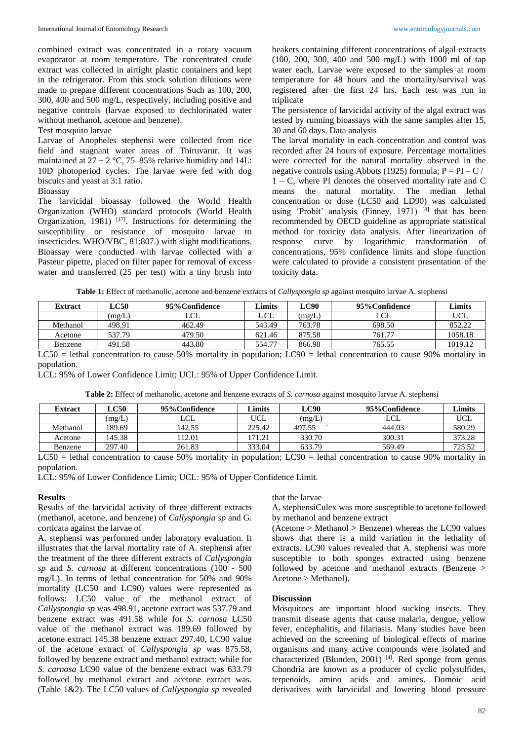combined extract was concentrated in a rotary vacuum evaporator at room temperature. The concentrated crude extract was collected in airtight plastic containers and kept in the refrigerator. From this stock solution dilutions were made to prepare different concentrations Such as 100, 200, 300, 400 and 500 mg/L, respectively, including positive and negative controls (larvae exposed to dechlorinated water without methanol, acetone and benzene).

## Test mosquito larvae

Larvae of Anopheles stephensi were collected from rice field and stagnant water areas of Thiruvarur. It was maintained at  $27 \pm 2$  °C, 75–85% relative humidity and 14L: 10D photoperiod cycles. The larvae were fed with dog biscuits and yeast at 3:1 ratio.

## Bioassay

The larvicidal bioassay followed the World Health Organization (WHO) standard protocols (World Health Organization, 1981)  $[17]$ . Instructions for determining the susceptibility or resistance of mosquito larvae to insecticides. WHO/VBC, 81:807.) with slight modifications. Bioassay were conducted with larvae collected with a Pasteur pipette, placed on filter paper for removal of excess water and transferred (25 per test) with a tiny brush into

beakers containing different concentrations of algal extracts (100, 200, 300, 400 and 500 mg/L) with 1000 ml of tap water each. Larvae were exposed to the samples at room temperature for 48 hours and the mortality/survival was registered after the first 24 hrs. Each test was run in triplicate

The persistence of larvicidal activity of the algal extract was tested by running bioassays with the same samples after 15, 30 and 60 days. Data analysis

The larval mortality in each concentration and control was recorded after 24 hours of exposure. Percentage mortalities were corrected for the natural mortality observed in the negative controls using Abbots (1925) formula;  $P = PI - C$  / 1 – C, where PI denotes the observed mortality rate and C means the natural mortality. The median lethal concentration or dose (LC50 and LD90) was calculated using 'Probit' analysis (Finney, 1971) [8] that has been recommended by OECD guideline as appropriate statistical method for toxicity data analysis. After linearization of response curve by logarithmic transformation of concentrations, 95% confidence limits and slope function were calculated to provide a consistent presentation of the toxicity data.

| Table 1: Effect of methanolic, acetone and benzene extracts of Callyspongia sp against mosquito larvae A. stephensi |  |  |  |
|---------------------------------------------------------------------------------------------------------------------|--|--|--|
|---------------------------------------------------------------------------------------------------------------------|--|--|--|

| <b>Extract</b> | LC50   | 95% Confidence | Limits     | LC90   | 95% Confidence | Limits  |
|----------------|--------|----------------|------------|--------|----------------|---------|
|                | (mg/L) | LCL            | <b>UCL</b> | (mg/L) | LCL            | UCL     |
| Methanol       | 498.91 | 462.49         | 543.49     | 763.78 | 698.50         | 852.22  |
| Acetone        | 537.79 | 479.50         | 621.46     | 875.58 | 761.77         | 1058.18 |
| Benzene        | 491.58 | 443.80         | 554.77     | 866.98 | 765.55         | 1019.12 |

LC50 = lethal concentration to cause 50% mortality in population; LC90 = lethal concentration to cause 90% mortality in population.

LCL: 95% of Lower Confidence Limit; UCL: 95% of Upper Confidence Limit.

**Table 2:** Effect of methanolic, acetone and benzene extracts of *S. carnosa* against mosquito larvae A. stephensi

| Extract  | LC50   | 95% Confidence | Limits | LC90   | 95% Confidence | Limits     |
|----------|--------|----------------|--------|--------|----------------|------------|
|          | (mg/L) | LCL            | UCL    | (mg/L) |                | <b>UCL</b> |
| Methanol | 189.69 | .42.55         | 225.42 | 497.55 | 444.03         | 580.29     |
| Acetone  | 145.38 | 12.01          | 171.21 | 330.70 | 300.31         | 373.28     |
| Benzene  | 297.40 | 261.83         | 333.04 | 633.79 | 569.49         | 725.52     |

LC50 = lethal concentration to cause 50% mortality in population; LC90 = lethal concentration to cause 90% mortality in population.

LCL: 95% of Lower Confidence Limit; UCL: 95% of Upper Confidence Limit.

#### **Results**

Results of the larvicidal activity of three different extracts (methanol, acetone, and benzene) of *Callyspongia sp* and G. corticata against the larvae of

A. stephensi was performed under laboratory evaluation. It illustrates that the larval mortality rate of A. stephensi after the treatment of the three different extracts of *Callyspongia sp* and *S. carnosa* at different concentrations (100 - 500 mg/L). In terms of lethal concentration for 50% and 90% mortality (LC50 and LC90) values were represented as follows: LC50 value of the methanol extract of *Callyspongia sp* was 498.91, acetone extract was 537.79 and benzene extract was 491.58 while for *S. carnosa* LC50 value of the methanol extract was 189.69 followed by acetone extract 145.38 benzene extract 297.40, LC90 value of the acetone extract of *Callyspongia sp* was 875.58, followed by benzene extract and methanol extract; while for *S. carnosa* LC90 value of the benzene extract was 633.79 followed by methanol extract and acetone extract was. (Table 1&2). The LC50 values of *Callyspongia sp* revealed that the larvae

A. stephensiCulex was more susceptible to acetone followed by methanol and benzene extract

(Acetone > Methanol > Benzene) whereas the LC90 values shows that there is a mild variation in the lethality of extracts. LC90 values revealed that A. stephensi was more susceptible to both sponges extracted using benzene followed by acetone and methanol extracts (Benzene > Acetone > Methanol).

#### **Discussion**

Mosquitoes are important blood sucking insects. They transmit disease agents that cause malaria, dengue, yellow fever, encephalitis, and filariasis. Many studies have been achieved on the screening of biological effects of marine organisms and many active compounds were isolated and characterized (Blunden, 2001)  $[4]$ . Red sponge from genus Chondria are known as a producer of cyclic polysulfides, terpenoids, amino acids and amines. Domoic acid derivatives with larvicidal and lowering blood pressure